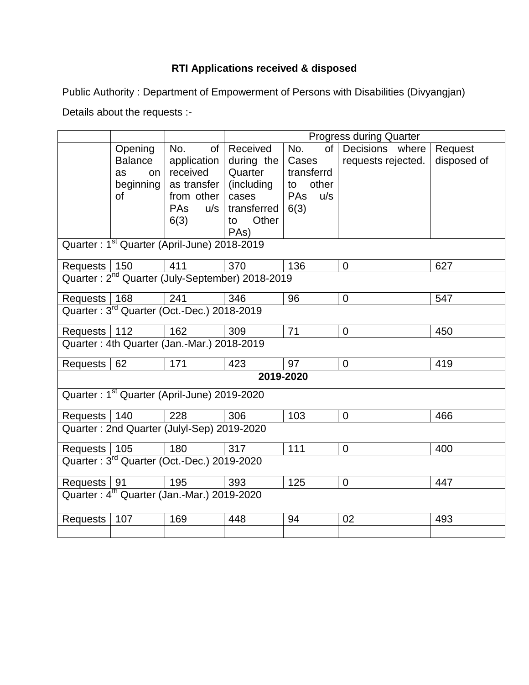## **RTI Applications received & disposed**

Public Authority : Department of Empowerment of Persons with Disabilities (Divyangjan)

Details about the requests :-

|                                                             |                                                          |                                                                                                | <b>Progress during Quarter</b>                                                                              |                                                                              |                                       |                        |  |  |  |
|-------------------------------------------------------------|----------------------------------------------------------|------------------------------------------------------------------------------------------------|-------------------------------------------------------------------------------------------------------------|------------------------------------------------------------------------------|---------------------------------------|------------------------|--|--|--|
|                                                             | Opening<br><b>Balance</b><br>as<br>on<br>beginning<br>of | No.<br>of<br>application<br>received<br>as transfer<br>from other<br><b>PAs</b><br>u/s<br>6(3) | Received<br>during the<br>Quarter<br>(including<br>cases<br>transferred<br>Other<br>to<br>PA <sub>s</sub> ) | of<br>No.<br>Cases<br>transferrd<br>other<br>to<br><b>PAs</b><br>u/s<br>6(3) | Decisions where<br>requests rejected. | Request<br>disposed of |  |  |  |
| Quarter: 1 <sup>st</sup> Quarter (April-June) 2018-2019     |                                                          |                                                                                                |                                                                                                             |                                                                              |                                       |                        |  |  |  |
| Requests   150                                              |                                                          | 411                                                                                            | 370                                                                                                         | 136                                                                          | $\mathbf 0$                           | 627                    |  |  |  |
| Quarter: 2 <sup>nd</sup> Quarter (July-September) 2018-2019 |                                                          |                                                                                                |                                                                                                             |                                                                              |                                       |                        |  |  |  |
| Requests   168                                              |                                                          | 241                                                                                            | 346                                                                                                         | 96                                                                           | $\pmb{0}$                             | 547                    |  |  |  |
| Quarter: 3 <sup>rd</sup> Quarter (Oct.-Dec.) 2018-2019      |                                                          |                                                                                                |                                                                                                             |                                                                              |                                       |                        |  |  |  |
| Requests   112                                              |                                                          | 162                                                                                            | 309                                                                                                         | 71                                                                           | $\mathbf 0$                           | 450                    |  |  |  |
| Quarter: 4th Quarter (Jan.-Mar.) 2018-2019                  |                                                          |                                                                                                |                                                                                                             |                                                                              |                                       |                        |  |  |  |
| Requests                                                    | 62                                                       | 171                                                                                            | 423                                                                                                         | 97                                                                           | $\mathbf 0$                           | 419                    |  |  |  |
| 2019-2020                                                   |                                                          |                                                                                                |                                                                                                             |                                                                              |                                       |                        |  |  |  |
| Quarter: 1 <sup>st</sup> Quarter (April-June) 2019-2020     |                                                          |                                                                                                |                                                                                                             |                                                                              |                                       |                        |  |  |  |
| Requests   140                                              |                                                          | 228                                                                                            | 306                                                                                                         | 103                                                                          | $\mathbf 0$                           | 466                    |  |  |  |
| Quarter: 2nd Quarter (Julyl-Sep) 2019-2020                  |                                                          |                                                                                                |                                                                                                             |                                                                              |                                       |                        |  |  |  |
| Requests   105                                              |                                                          | 180                                                                                            | 317                                                                                                         | 111                                                                          | $\mathbf 0$                           | 400                    |  |  |  |
| Quarter: 3 <sup>rd</sup> Quarter (Oct.-Dec.) 2019-2020      |                                                          |                                                                                                |                                                                                                             |                                                                              |                                       |                        |  |  |  |
| Requests   91                                               |                                                          | 195                                                                                            | 393                                                                                                         | 125                                                                          | $\mathbf 0$                           | 447                    |  |  |  |
| Quarter: 4 <sup>th</sup> Quarter (Jan.-Mar.) 2019-2020      |                                                          |                                                                                                |                                                                                                             |                                                                              |                                       |                        |  |  |  |
| Requests                                                    | 107                                                      | 169                                                                                            | 448                                                                                                         | 94                                                                           | 02                                    | 493                    |  |  |  |
|                                                             |                                                          |                                                                                                |                                                                                                             |                                                                              |                                       |                        |  |  |  |